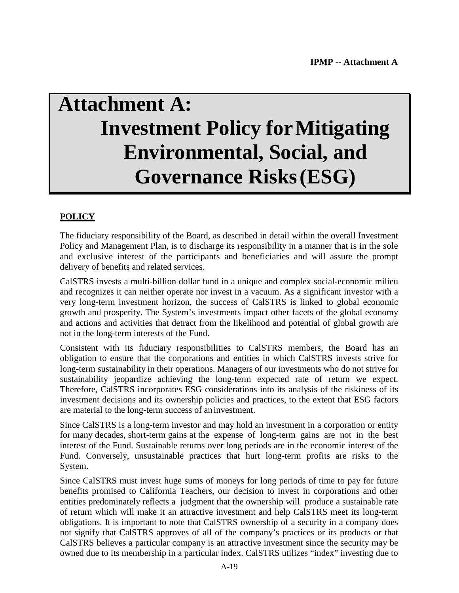# **Attachment A: Investment Policy forMitigating Environmental, Social, and Governance Risks(ESG)**

# **POLICY**

The fiduciary responsibility of the Board, as described in detail within the overall Investment Policy and Management Plan, is to discharge its responsibility in a manner that is in the sole and exclusive interest of the participants and beneficiaries and will assure the prompt delivery of benefits and related services.

CalSTRS invests a multi-billion dollar fund in a unique and complex social-economic milieu and recognizes it can neither operate nor invest in a vacuum. As a significant investor with a very long-term investment horizon, the success of CalSTRS is linked to global economic growth and prosperity. The System's investments impact other facets of the global economy and actions and activities that detract from the likelihood and potential of global growth are not in the long-term interests of the Fund.

Consistent with its fiduciary responsibilities to CalSTRS members, the Board has an obligation to ensure that the corporations and entities in which CalSTRS invests strive for long-term sustainability in their operations. Managers of our investments who do not strive for sustainability jeopardize achieving the long-term expected rate of return we expect. Therefore, CalSTRS incorporates ESG considerations into its analysis of the riskiness of its investment decisions and its ownership policies and practices, to the extent that ESG factors are material to the long-term success of aninvestment.

Since CalSTRS is a long-term investor and may hold an investment in a corporation or entity for many decades, short-term gains at the expense of long-term gains are not in the best interest of the Fund. Sustainable returns over long periods are in the economic interest of the Fund. Conversely, unsustainable practices that hurt long-term profits are risks to the System.

Since CalSTRS must invest huge sums of moneys for long periods of time to pay for future benefits promised to California Teachers, our decision to invest in corporations and other entities predominately reflects a judgment that the ownership will produce a sustainable rate of return which will make it an attractive investment and help CalSTRS meet its long-term obligations. It is important to note that CalSTRS ownership of a security in a company does not signify that CalSTRS approves of all of the company's practices or its products or that CalSTRS believes a particular company is an attractive investment since the security may be owned due to its membership in a particular index. CalSTRS utilizes "index" investing due to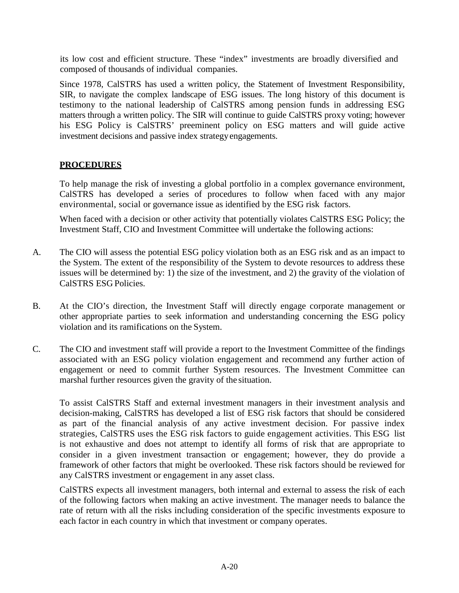its low cost and efficient structure. These "index" investments are broadly diversified and composed of thousands of individual companies.

Since 1978, CalSTRS has used a written policy, the Statement of Investment Responsibility, SIR, to navigate the complex landscape of ESG issues. The long history of this document is testimony to the national leadership of CalSTRS among pension funds in addressing ESG matters through a written policy. The SIR will continue to guide CalSTRS proxy voting; however his ESG Policy is CalSTRS' preeminent policy on ESG matters and will guide active investment decisions and passive index strategyengagements.

# **PROCEDURES**

To help manage the risk of investing a global portfolio in a complex governance environment, CalSTRS has developed a series of procedures to follow when faced with any major environmental, social or governance issue as identified by the ESG risk factors.

When faced with a decision or other activity that potentially violates CalSTRS ESG Policy; the Investment Staff, CIO and Investment Committee will undertake the following actions:

- A. The CIO will assess the potential ESG policy violation both as an ESG risk and as an impact to the System. The extent of the responsibility of the System to devote resources to address these issues will be determined by: 1) the size of the investment, and 2) the gravity of the violation of CalSTRS ESG Policies.
- B. At the CIO's direction, the Investment Staff will directly engage corporate management or other appropriate parties to seek information and understanding concerning the ESG policy violation and its ramifications on the System.
- C. The CIO and investment staff will provide a report to the Investment Committee of the findings associated with an ESG policy violation engagement and recommend any further action of engagement or need to commit further System resources. The Investment Committee can marshal further resources given the gravity of the situation.

To assist CalSTRS Staff and external investment managers in their investment analysis and decision-making, CalSTRS has developed a list of ESG risk factors that should be considered as part of the financial analysis of any active investment decision. For passive index strategies, CalSTRS uses the ESG risk factors to guide engagement activities. This ESG list is not exhaustive and does not attempt to identify all forms of risk that are appropriate to consider in a given investment transaction or engagement; however, they do provide a framework of other factors that might be overlooked. These risk factors should be reviewed for any CalSTRS investment or engagement in any asset class.

CalSTRS expects all investment managers, both internal and external to assess the risk of each of the following factors when making an active investment. The manager needs to balance the rate of return with all the risks including consideration of the specific investments exposure to each factor in each country in which that investment or company operates.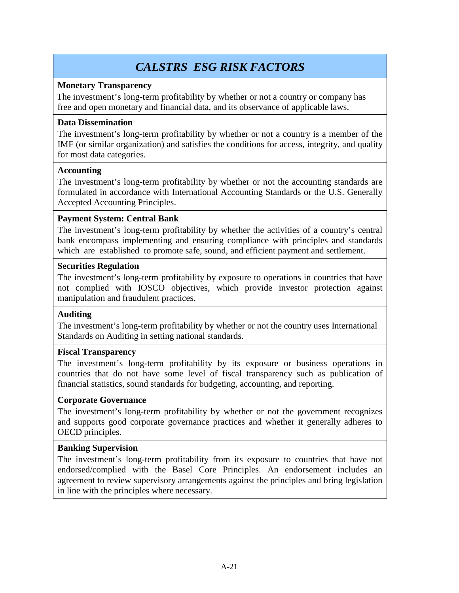# *CALSTRS ESG RISK FACTORS*

### **Monetary Transparency**

The investment's long-term profitability by whether or not a country or company has free and open monetary and financial data, and its observance of applicable laws.

# **Data Dissemination**

The investment's long-term profitability by whether or not a country is a member of the IMF (or similar organization) and satisfies the conditions for access, integrity, and quality for most data categories.

# **Accounting**

The investment's long-term profitability by whether or not the accounting standards are formulated in accordance with International Accounting Standards or the U.S. Generally Accepted Accounting Principles.

# **Payment System: Central Bank**

The investment's long-term profitability by whether the activities of a country's central bank encompass implementing and ensuring compliance with principles and standards which are established to promote safe, sound, and efficient payment and settlement.

# **Securities Regulation**

The investment's long-term profitability by exposure to operations in countries that have not complied with IOSCO objectives, which provide investor protection against manipulation and fraudulent practices.

#### **Auditing**

The investment's long-term profitability by whether or not the country uses International Standards on Auditing in setting national standards.

#### **Fiscal Transparency**

The investment's long-term profitability by its exposure or business operations in countries that do not have some level of fiscal transparency such as publication of financial statistics, sound standards for budgeting, accounting, and reporting.

#### **Corporate Governance**

The investment's long-term profitability by whether or not the government recognizes and supports good corporate governance practices and whether it generally adheres to OECD principles.

#### **Banking Supervision**

The investment's long-term profitability from its exposure to countries that have not endorsed/complied with the Basel Core Principles. An endorsement includes an agreement to review supervisory arrangements against the principles and bring legislation in line with the principles where necessary.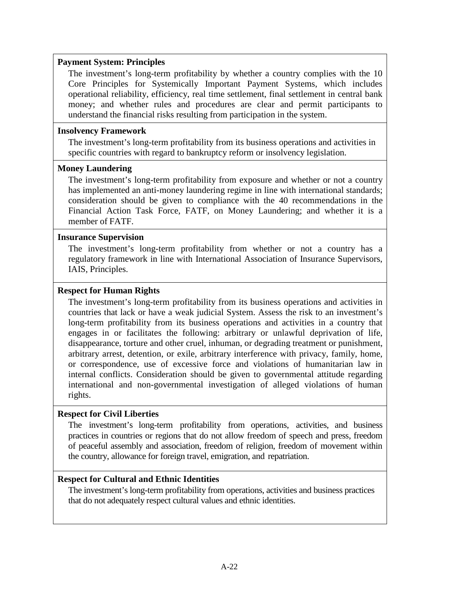#### **Payment System: Principles**

The investment's long-term profitability by whether a country complies with the 10 Core Principles for Systemically Important Payment Systems, which includes operational reliability, efficiency, real time settlement, final settlement in central bank money; and whether rules and procedures are clear and permit participants to understand the financial risks resulting from participation in the system.

#### **Insolvency Framework**

The investment's long-term profitability from its business operations and activities in specific countries with regard to bankruptcy reform or insolvency legislation.

#### **Money Laundering**

The investment's long-term profitability from exposure and whether or not a country has implemented an anti-money laundering regime in line with international standards; consideration should be given to compliance with the 40 recommendations in the Financial Action Task Force, FATF, on Money Laundering; and whether it is a member of FATF.

#### **Insurance Supervision**

The investment's long-term profitability from whether or not a country has a regulatory framework in line with International Association of Insurance Supervisors, IAIS, Principles.

#### **Respect for Human Rights**

The investment's long-term profitability from its business operations and activities in countries that lack or have a weak judicial System. Assess the risk to an investment's long-term profitability from its business operations and activities in a country that engages in or facilitates the following: arbitrary or unlawful deprivation of life, disappearance, torture and other cruel, inhuman, or degrading treatment or punishment, arbitrary arrest, detention, or exile, arbitrary interference with privacy, family, home, or correspondence, use of excessive force and violations of humanitarian law in internal conflicts. Consideration should be given to governmental attitude regarding international and non-governmental investigation of alleged violations of human rights.

#### **Respect for Civil Liberties**

The investment's long-term profitability from operations, activities, and business practices in countries or regions that do not allow freedom of speech and press, freedom of peaceful assembly and association, freedom of religion, freedom of movement within the country, allowance for foreign travel, emigration, and repatriation.

#### **Respect for Cultural and Ethnic Identities**

The investment's long-term profitability from operations, activities and business practices that do not adequately respect cultural values and ethnic identities.